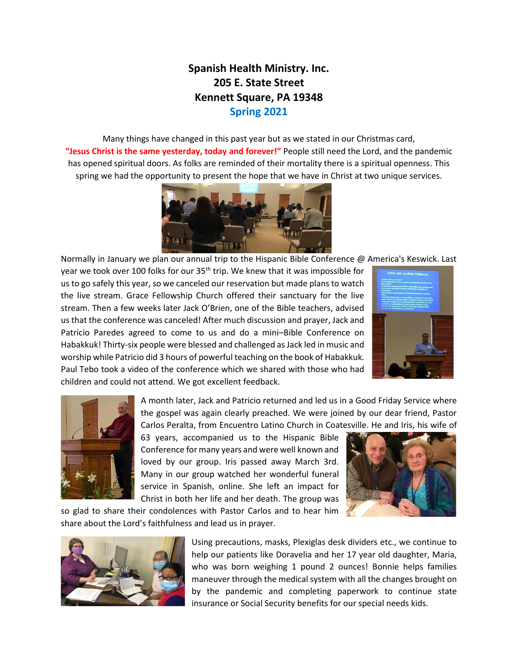## **Spanish Health Ministry. Inc. 205 E. State Street Kennett Square, PA 19348 Spring 2021**

Many things have changed in this past year but as we stated in our Christmas card, **"Jesus Christ is the same yesterday, today and forever!"** People still need the Lord, and the pandemic has opened spiritual doors. As folks are reminded of their mortality there is a spiritual openness. This spring we had the opportunity to present the hope that we have in Christ at two unique services.



Normally in January we plan our annual trip to the Hispanic Bible Conference @ America's Keswick. Last

year we took over 100 folks for our 35<sup>th</sup> trip. We knew that it was impossible for us to go safely this year, so we canceled our reservation but made plans to watch the live stream. Grace Fellowship Church offered their sanctuary for the live stream. Then a few weeks later Jack O'Brien, one of the Bible teachers, advised us that the conference was canceled! After much discussion and prayer, Jack and Patricio Paredes agreed to come to us and do a mini–Bible Conference on Habakkuk! Thirty-six people were blessed and challenged as Jack led in music and worship while Patricio did 3 hours of powerful teaching on the book of Habakkuk. Paul Tebo took a video of the conference which we shared with those who had children and could not attend. We got excellent feedback.





A month later, Jack and Patricio returned and led us in a Good Friday Service where the gospel was again clearly preached. We were joined by our dear friend, Pastor Carlos Peralta, from Encuentro Latino Church in Coatesville. He and Iris, his wife of

63 years, accompanied us to the Hispanic Bible Conference for many years and were well known and loved by our group. Iris passed away March 3rd. Many in our group watched her wonderful funeral service in Spanish, online. She left an impact for Christ in both her life and her death. The group was



so glad to share their condolences with Pastor Carlos and to hear him share about the Lord's faithfulness and lead us in prayer.



Using precautions, masks, Plexiglas desk dividers etc., we continue to help our patients like Doravelia and her 17 year old daughter, Maria, who was born weighing 1 pound 2 ounces! Bonnie helps families maneuver through the medical system with all the changes brought on by the pandemic and completing paperwork to continue state insurance or Social Security benefits for our special needs kids.